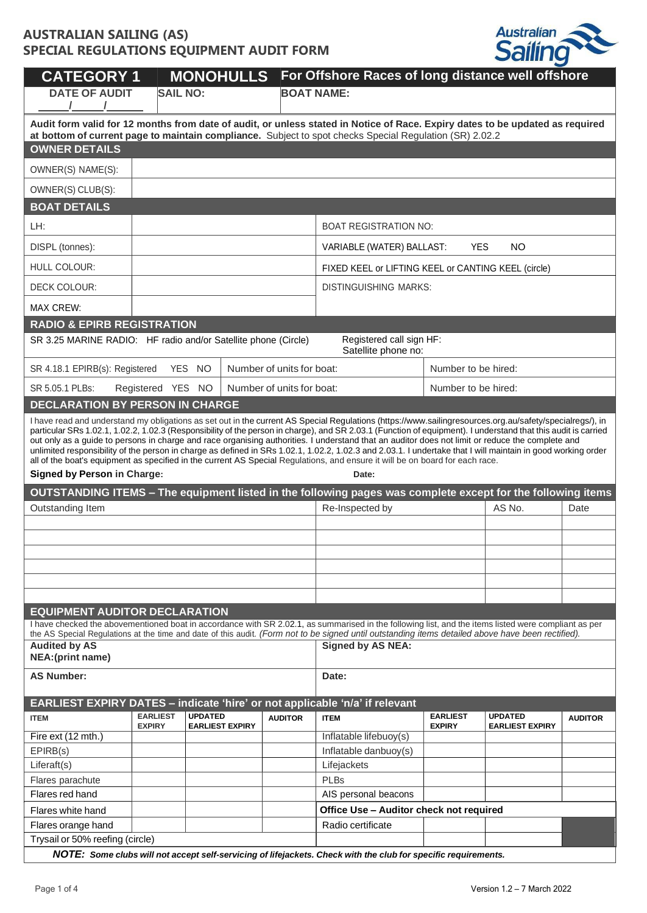

| <b>MONOHULLS</b><br><b>CATEGORY 1</b>                                                                                                                                                                                                                                                                                                                                                                                                                                                                                                                                                                                                                                                                                                                                                                                          |                                  |                |                        |                           | For Offshore Races of long distance well offshore                                                                                                                                                                                                                                                          |                                  |                                          |                |  |
|--------------------------------------------------------------------------------------------------------------------------------------------------------------------------------------------------------------------------------------------------------------------------------------------------------------------------------------------------------------------------------------------------------------------------------------------------------------------------------------------------------------------------------------------------------------------------------------------------------------------------------------------------------------------------------------------------------------------------------------------------------------------------------------------------------------------------------|----------------------------------|----------------|------------------------|---------------------------|------------------------------------------------------------------------------------------------------------------------------------------------------------------------------------------------------------------------------------------------------------------------------------------------------------|----------------------------------|------------------------------------------|----------------|--|
| <b>DATE OF AUDIT</b>                                                                                                                                                                                                                                                                                                                                                                                                                                                                                                                                                                                                                                                                                                                                                                                                           | <b>SAIL NO:</b>                  |                |                        |                           | <b>BOAT NAME:</b>                                                                                                                                                                                                                                                                                          |                                  |                                          |                |  |
| Audit form valid for 12 months from date of audit, or unless stated in Notice of Race. Expiry dates to be updated as required                                                                                                                                                                                                                                                                                                                                                                                                                                                                                                                                                                                                                                                                                                  |                                  |                |                        |                           |                                                                                                                                                                                                                                                                                                            |                                  |                                          |                |  |
| at bottom of current page to maintain compliance. Subject to spot checks Special Regulation (SR) 2.02.2<br><b>OWNER DETAILS</b>                                                                                                                                                                                                                                                                                                                                                                                                                                                                                                                                                                                                                                                                                                |                                  |                |                        |                           |                                                                                                                                                                                                                                                                                                            |                                  |                                          |                |  |
|                                                                                                                                                                                                                                                                                                                                                                                                                                                                                                                                                                                                                                                                                                                                                                                                                                |                                  |                |                        |                           |                                                                                                                                                                                                                                                                                                            |                                  |                                          |                |  |
|                                                                                                                                                                                                                                                                                                                                                                                                                                                                                                                                                                                                                                                                                                                                                                                                                                | OWNER(S) NAME(S):                |                |                        |                           |                                                                                                                                                                                                                                                                                                            |                                  |                                          |                |  |
| OWNER(S) CLUB(S):                                                                                                                                                                                                                                                                                                                                                                                                                                                                                                                                                                                                                                                                                                                                                                                                              |                                  |                |                        |                           |                                                                                                                                                                                                                                                                                                            |                                  |                                          |                |  |
| <b>BOAT DETAILS</b>                                                                                                                                                                                                                                                                                                                                                                                                                                                                                                                                                                                                                                                                                                                                                                                                            |                                  |                |                        |                           |                                                                                                                                                                                                                                                                                                            |                                  |                                          |                |  |
| LH:                                                                                                                                                                                                                                                                                                                                                                                                                                                                                                                                                                                                                                                                                                                                                                                                                            |                                  |                |                        |                           | <b>BOAT REGISTRATION NO:</b>                                                                                                                                                                                                                                                                               |                                  |                                          |                |  |
| DISPL (tonnes):                                                                                                                                                                                                                                                                                                                                                                                                                                                                                                                                                                                                                                                                                                                                                                                                                |                                  |                |                        |                           | VARIABLE (WATER) BALLAST:                                                                                                                                                                                                                                                                                  | <b>YES</b>                       | <b>NO</b>                                |                |  |
| HULL COLOUR:                                                                                                                                                                                                                                                                                                                                                                                                                                                                                                                                                                                                                                                                                                                                                                                                                   |                                  |                |                        |                           | FIXED KEEL or LIFTING KEEL or CANTING KEEL (circle)                                                                                                                                                                                                                                                        |                                  |                                          |                |  |
| DECK COLOUR:                                                                                                                                                                                                                                                                                                                                                                                                                                                                                                                                                                                                                                                                                                                                                                                                                   |                                  |                |                        |                           | <b>DISTINGUISHING MARKS:</b>                                                                                                                                                                                                                                                                               |                                  |                                          |                |  |
| <b>MAX CREW:</b>                                                                                                                                                                                                                                                                                                                                                                                                                                                                                                                                                                                                                                                                                                                                                                                                               |                                  |                |                        |                           |                                                                                                                                                                                                                                                                                                            |                                  |                                          |                |  |
| <b>RADIO &amp; EPIRB REGISTRATION</b>                                                                                                                                                                                                                                                                                                                                                                                                                                                                                                                                                                                                                                                                                                                                                                                          |                                  |                |                        |                           |                                                                                                                                                                                                                                                                                                            |                                  |                                          |                |  |
| SR 3.25 MARINE RADIO: HF radio and/or Satellite phone (Circle)                                                                                                                                                                                                                                                                                                                                                                                                                                                                                                                                                                                                                                                                                                                                                                 |                                  |                |                        |                           | Registered call sign HF:<br>Satellite phone no:                                                                                                                                                                                                                                                            |                                  |                                          |                |  |
| SR 4.18.1 EPIRB(s): Registered                                                                                                                                                                                                                                                                                                                                                                                                                                                                                                                                                                                                                                                                                                                                                                                                 |                                  | YES NO         |                        | Number of units for boat: |                                                                                                                                                                                                                                                                                                            | Number to be hired:              |                                          |                |  |
| SR 5.05.1 PLBs:                                                                                                                                                                                                                                                                                                                                                                                                                                                                                                                                                                                                                                                                                                                                                                                                                | Registered YES NO                |                |                        | Number of units for boat: |                                                                                                                                                                                                                                                                                                            | Number to be hired:              |                                          |                |  |
| <b>DECLARATION BY PERSON IN CHARGE</b>                                                                                                                                                                                                                                                                                                                                                                                                                                                                                                                                                                                                                                                                                                                                                                                         |                                  |                |                        |                           |                                                                                                                                                                                                                                                                                                            |                                  |                                          |                |  |
| I have read and understand my obligations as set out in the current AS Special Regulations (https://www.sailingresources.org.au/safety/specialregs/), in<br>particular SRs 1.02.1, 1.02.2, 1.02.3 (Responsibility of the person in charge), and SR 2.03.1 (Function of equipment). I understand that this audit is carried<br>out only as a guide to persons in charge and race organising authorities. I understand that an auditor does not limit or reduce the complete and<br>unlimited responsibility of the person in charge as defined in SRs 1.02.1, 1.02.2, 1.02.3 and 2.03.1. I undertake that I will maintain in good working order<br>all of the boat's equipment as specified in the current AS Special Regulations, and ensure it will be on board for each race.<br><b>Signed by Person in Charge:</b><br>Date: |                                  |                |                        |                           |                                                                                                                                                                                                                                                                                                            |                                  |                                          |                |  |
|                                                                                                                                                                                                                                                                                                                                                                                                                                                                                                                                                                                                                                                                                                                                                                                                                                |                                  |                |                        |                           | OUTSTANDING ITEMS – The equipment listed in the following pages was complete except for the following items                                                                                                                                                                                                |                                  |                                          |                |  |
| Outstanding Item                                                                                                                                                                                                                                                                                                                                                                                                                                                                                                                                                                                                                                                                                                                                                                                                               |                                  |                |                        |                           | Re-Inspected by                                                                                                                                                                                                                                                                                            |                                  | AS No.                                   | Date           |  |
|                                                                                                                                                                                                                                                                                                                                                                                                                                                                                                                                                                                                                                                                                                                                                                                                                                |                                  |                |                        |                           |                                                                                                                                                                                                                                                                                                            |                                  |                                          |                |  |
|                                                                                                                                                                                                                                                                                                                                                                                                                                                                                                                                                                                                                                                                                                                                                                                                                                |                                  |                |                        |                           |                                                                                                                                                                                                                                                                                                            |                                  |                                          |                |  |
|                                                                                                                                                                                                                                                                                                                                                                                                                                                                                                                                                                                                                                                                                                                                                                                                                                |                                  |                |                        |                           |                                                                                                                                                                                                                                                                                                            |                                  |                                          |                |  |
|                                                                                                                                                                                                                                                                                                                                                                                                                                                                                                                                                                                                                                                                                                                                                                                                                                |                                  |                |                        |                           |                                                                                                                                                                                                                                                                                                            |                                  |                                          |                |  |
|                                                                                                                                                                                                                                                                                                                                                                                                                                                                                                                                                                                                                                                                                                                                                                                                                                |                                  |                |                        |                           |                                                                                                                                                                                                                                                                                                            |                                  |                                          |                |  |
| <b>EQUIPMENT AUDITOR DECLARATION</b>                                                                                                                                                                                                                                                                                                                                                                                                                                                                                                                                                                                                                                                                                                                                                                                           |                                  |                |                        |                           |                                                                                                                                                                                                                                                                                                            |                                  |                                          |                |  |
|                                                                                                                                                                                                                                                                                                                                                                                                                                                                                                                                                                                                                                                                                                                                                                                                                                |                                  |                |                        |                           | I have checked the abovementioned boat in accordance with SR 2.02.1, as summarised in the following list, and the items listed were compliant as per<br>the AS Special Regulations at the time and date of this audit. (Form not to be signed until outstanding items detailed above have been rectified). |                                  |                                          |                |  |
| <b>Audited by AS</b><br><b>NEA:</b> (print name)                                                                                                                                                                                                                                                                                                                                                                                                                                                                                                                                                                                                                                                                                                                                                                               |                                  |                |                        |                           | <b>Signed by AS NEA:</b>                                                                                                                                                                                                                                                                                   |                                  |                                          |                |  |
| <b>AS Number:</b>                                                                                                                                                                                                                                                                                                                                                                                                                                                                                                                                                                                                                                                                                                                                                                                                              | Date:                            |                |                        |                           |                                                                                                                                                                                                                                                                                                            |                                  |                                          |                |  |
|                                                                                                                                                                                                                                                                                                                                                                                                                                                                                                                                                                                                                                                                                                                                                                                                                                |                                  |                |                        |                           | EARLIEST EXPIRY DATES - indicate 'hire' or not applicable 'n/a' if relevant                                                                                                                                                                                                                                |                                  |                                          |                |  |
| <b>ITEM</b>                                                                                                                                                                                                                                                                                                                                                                                                                                                                                                                                                                                                                                                                                                                                                                                                                    | <b>EARLIEST</b><br><b>EXPIRY</b> | <b>UPDATED</b> | <b>EARLIEST EXPIRY</b> | <b>AUDITOR</b>            | <b>ITEM</b>                                                                                                                                                                                                                                                                                                | <b>EARLIEST</b><br><b>EXPIRY</b> | <b>UPDATED</b><br><b>EARLIEST EXPIRY</b> | <b>AUDITOR</b> |  |
| Fire ext (12 mth.)                                                                                                                                                                                                                                                                                                                                                                                                                                                                                                                                                                                                                                                                                                                                                                                                             |                                  |                |                        |                           | Inflatable lifebuoy(s)                                                                                                                                                                                                                                                                                     |                                  |                                          |                |  |
| EPIRB(s)                                                                                                                                                                                                                                                                                                                                                                                                                                                                                                                                                                                                                                                                                                                                                                                                                       |                                  |                |                        |                           | Inflatable danbuoy(s)                                                                                                                                                                                                                                                                                      |                                  |                                          |                |  |
| Liferaft(s)<br>Flares parachute                                                                                                                                                                                                                                                                                                                                                                                                                                                                                                                                                                                                                                                                                                                                                                                                |                                  |                |                        |                           | Lifejackets<br><b>PLBs</b>                                                                                                                                                                                                                                                                                 |                                  |                                          |                |  |
| Flares red hand                                                                                                                                                                                                                                                                                                                                                                                                                                                                                                                                                                                                                                                                                                                                                                                                                |                                  |                |                        |                           | AIS personal beacons                                                                                                                                                                                                                                                                                       |                                  |                                          |                |  |
| Flares white hand                                                                                                                                                                                                                                                                                                                                                                                                                                                                                                                                                                                                                                                                                                                                                                                                              |                                  |                |                        |                           | Office Use - Auditor check not required                                                                                                                                                                                                                                                                    |                                  |                                          |                |  |
| Flares orange hand                                                                                                                                                                                                                                                                                                                                                                                                                                                                                                                                                                                                                                                                                                                                                                                                             |                                  |                |                        |                           | Radio certificate                                                                                                                                                                                                                                                                                          |                                  |                                          |                |  |
| Trysail or 50% reefing (circle)                                                                                                                                                                                                                                                                                                                                                                                                                                                                                                                                                                                                                                                                                                                                                                                                |                                  |                |                        |                           |                                                                                                                                                                                                                                                                                                            |                                  |                                          |                |  |
| NOTE: Some clubs will not accept self-servicing of lifejackets. Check with the club for specific requirements.                                                                                                                                                                                                                                                                                                                                                                                                                                                                                                                                                                                                                                                                                                                 |                                  |                |                        |                           |                                                                                                                                                                                                                                                                                                            |                                  |                                          |                |  |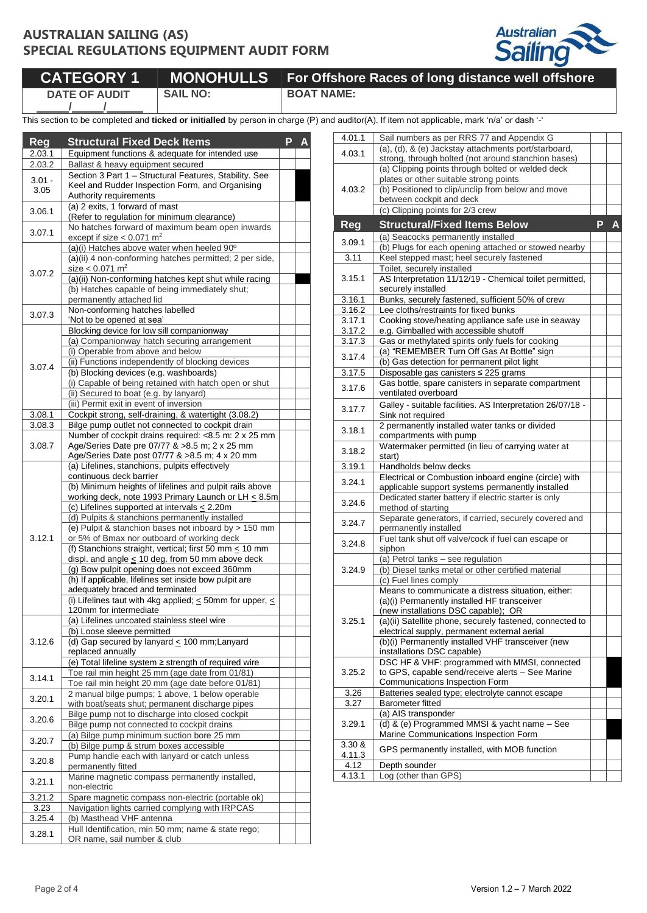

**CATEGORY 1 MONOHULLS For Offshore Races of long distance well offshore DATE OF AUDIT**

**/ /**

**SAIL NO: BOAT NAME:**

This section to be completed and **ticked or initialled** by person in charge (P) and auditor(A). If item not applicable, mark 'n/a' or dash '-'

| <b>Reg</b> | <b>Structural Fixed Deck Items</b>                                                               | P | Α |
|------------|--------------------------------------------------------------------------------------------------|---|---|
| 2.03.1     | Equipment functions & adequate for intended use                                                  |   |   |
| 2.03.2     | Ballast & heavy equipment secured                                                                |   |   |
|            | Section 3 Part 1 - Structural Features, Stability. See                                           |   |   |
| $3.01 -$   | Keel and Rudder Inspection Form, and Organising                                                  |   |   |
| 3.05       | Authority requirements                                                                           |   |   |
|            | (a) 2 exits, 1 forward of mast                                                                   |   |   |
| 3.06.1     | (Refer to regulation for minimum clearance)                                                      |   |   |
| 3.07.1     | No hatches forward of maximum beam open inwards                                                  |   |   |
|            | except if size $< 0.071$ m <sup>2</sup>                                                          |   |   |
|            | (a)(i) Hatches above water when heeled 90°                                                       |   |   |
|            | (a)(ii) 4 non-conforming hatches permitted; 2 per side,                                          |   |   |
| 3.07.2     | size $< 0.071$ m <sup>2</sup>                                                                    |   |   |
|            | (a)(ii) Non-conforming hatches kept shut while racing                                            |   |   |
|            | (b) Hatches capable of being immediately shut;<br>permanently attached lid                       |   |   |
|            | Non-conforming hatches labelled                                                                  |   |   |
| 3.07.3     | 'Not to be opened at sea'                                                                        |   |   |
|            | Blocking device for low sill companionway                                                        |   |   |
|            | (a) Companionway hatch securing arrangement                                                      |   |   |
|            | (i) Operable from above and below                                                                |   |   |
|            | (ii) Functions independently of blocking devices                                                 |   |   |
| 3.07.4     | (b) Blocking devices (e.g. washboards)                                                           |   |   |
|            | (i) Capable of being retained with hatch open or shut                                            |   |   |
|            | (ii) Secured to boat (e.g. by lanyard)                                                           |   |   |
|            | (iii) Permit exit in event of inversion                                                          |   |   |
| 3.08.1     | Cockpit strong, self-draining, & watertight (3.08.2)                                             |   |   |
| 3.08.3     | Bilge pump outlet not connected to cockpit drain                                                 |   |   |
|            | Number of cockpit drains required: <8.5 m: 2 x 25 mm                                             |   |   |
| 3.08.7     | Age/Series Date pre 07/77 & >8.5 m; 2 x 25 mm                                                    |   |   |
|            | Age/Series Date post 07/77 & >8.5 m; 4 x 20 mm<br>(a) Lifelines, stanchions, pulpits effectively |   |   |
|            | continuous deck barrier                                                                          |   |   |
|            | (b) Minimum heights of lifelines and pulpit rails above                                          |   |   |
|            | working deck, note 1993 Primary Launch or LH < 8.5m                                              |   |   |
|            | (c) Lifelines supported at intervals $\leq$ 2.20m                                                |   |   |
|            | (d) Pulpits & stanchions permanently installed                                                   |   |   |
|            | (e) Pulpit & stanchion bases not inboard by > 150 mm                                             |   |   |
| 3.12.1     | or 5% of Bmax nor outboard of working deck                                                       |   |   |
|            | (f) Stanchions straight, vertical; first 50 mm $\leq$ 10 mm                                      |   |   |
|            | displ. and angle $\leq$ 10 deg. from 50 mm above deck                                            |   |   |
|            | (g) Bow pulpit opening does not exceed 360mm                                                     |   |   |
|            | (h) If applicable, lifelines set inside bow pulpit are<br>adequately braced and terminated       |   |   |
|            | (i) Lifelines taut with 4kg applied; $\leq$ 50mm for upper, $\leq$                               |   |   |
|            | 120mm for intermediate                                                                           |   |   |
|            | (a) Lifelines uncoated stainless steel wire                                                      |   |   |
|            | (b) Loose sleeve permitted                                                                       |   |   |
| 3.12.6     | (d) Gap secured by lanyard $\leq 100$ mm; Lanyard                                                |   |   |
|            | replaced annually                                                                                |   |   |
|            | (e) Total lifeline system a strength of required wire                                            |   |   |
| 3.14.1     | Toe rail min height 25 mm (age date from 01/81)                                                  |   |   |
|            | Toe rail min height 20 mm (age date before 01/81)                                                |   |   |
| 3.20.1     | 2 manual bilge pumps; 1 above, 1 below operable                                                  |   |   |
|            | with boat/seats shut; permanent discharge pipes                                                  |   |   |
| 3.20.6     | Bilge pump not to discharge into closed cockpit                                                  |   |   |
|            | Bilge pump not connected to cockpit drains<br>(a) Bilge pump minimum suction bore 25 mm          |   |   |
| 3.20.7     | (b) Bilge pump & strum boxes accessible                                                          |   |   |
|            | Pump handle each with lanyard or catch unless                                                    |   |   |
| 3.20.8     | permanently fitted                                                                               |   |   |
|            | Marine magnetic compass permanently installed,                                                   |   |   |
| 3.21.1     | non-electric                                                                                     |   |   |
| 3.21.2     | Spare magnetic compass non-electric (portable ok)                                                |   |   |
| 3.23       | Navigation lights carried complying with IRPCAS                                                  |   |   |
| 3.25.4     | (b) Masthead VHF antenna                                                                         |   |   |
| 3.28.1     | Hull Identification, min 50 mm; name & state rego;                                               |   |   |
|            | OR name, sail number & club                                                                      |   |   |

| 4.01.1       | Sail numbers as per RRS 77 and Appendix G                                                         |   |  |  |  |  |  |
|--------------|---------------------------------------------------------------------------------------------------|---|--|--|--|--|--|
| 4.03.1       | (a), (d), & (e) Jackstay attachments port/starboard,                                              |   |  |  |  |  |  |
|              | strong, through bolted (not around stanchion bases)                                               |   |  |  |  |  |  |
|              | (a) Clipping points through bolted or welded deck                                                 |   |  |  |  |  |  |
| 4.03.2       | plates or other suitable strong points<br>(b) Positioned to clip/unclip from below and move       |   |  |  |  |  |  |
|              | between cockpit and deck                                                                          |   |  |  |  |  |  |
|              | (c) Clipping points for 2/3 crew                                                                  |   |  |  |  |  |  |
|              |                                                                                                   |   |  |  |  |  |  |
| <b>Reg</b>   | <b>Structural/Fixed Items Below</b>                                                               | P |  |  |  |  |  |
| 3.09.1       | (a) Seacocks permanently installed                                                                |   |  |  |  |  |  |
|              | (b) Plugs for each opening attached or stowed nearby<br>Keel stepped mast; heel securely fastened |   |  |  |  |  |  |
| 3.11         | Toilet, securely installed                                                                        |   |  |  |  |  |  |
| 3.15.1       | AS Interpretation 11/12/19 - Chemical toilet permitted,                                           |   |  |  |  |  |  |
|              | securely installed                                                                                |   |  |  |  |  |  |
| 3.16.1       | Bunks, securely fastened, sufficient 50% of crew                                                  |   |  |  |  |  |  |
| 3.16.2       | Lee cloths/restraints for fixed bunks                                                             |   |  |  |  |  |  |
| 3.17.1       | Cooking stove/heating appliance safe use in seaway                                                |   |  |  |  |  |  |
| 3.17.2       | e.g. Gimballed with accessible shutoff                                                            |   |  |  |  |  |  |
| 3.17.3       | Gas or methylated spirits only fuels for cooking                                                  |   |  |  |  |  |  |
| 3.17.4       | (a) "REMEMBER Turn Off Gas At Bottle" sign                                                        |   |  |  |  |  |  |
|              | (b) Gas detection for permanent pilot light                                                       |   |  |  |  |  |  |
| 3.17.5       | Disposable gas canisters ≤ 225 grams                                                              |   |  |  |  |  |  |
| 3.17.6       | Gas bottle, spare canisters in separate compartment<br>ventilated overboard                       |   |  |  |  |  |  |
|              |                                                                                                   |   |  |  |  |  |  |
| 3.17.7       | Galley - suitable facilities. AS Interpretation 26/07/18 -                                        |   |  |  |  |  |  |
|              | Sink not required<br>2 permanently installed water tanks or divided                               |   |  |  |  |  |  |
| 3.18.1       | compartments with pump                                                                            |   |  |  |  |  |  |
|              | Watermaker permitted (in lieu of carrying water at                                                |   |  |  |  |  |  |
| 3.18.2       | start)                                                                                            |   |  |  |  |  |  |
| 3.19.1       | Handholds below decks                                                                             |   |  |  |  |  |  |
| 3.24.1       | Electrical or Combustion inboard engine (circle) with                                             |   |  |  |  |  |  |
|              | applicable support systems permanently installed                                                  |   |  |  |  |  |  |
| 3.24.6       | Dedicated starter battery if electric starter is only                                             |   |  |  |  |  |  |
|              | method of starting<br>Separate generators, if carried, securely covered and                       |   |  |  |  |  |  |
| 3.24.7       | permanently installed                                                                             |   |  |  |  |  |  |
|              | Fuel tank shut off valve/cock if fuel can escape or                                               |   |  |  |  |  |  |
| 3.24.8       | siphon                                                                                            |   |  |  |  |  |  |
|              | (a) Petrol tanks - see regulation                                                                 |   |  |  |  |  |  |
| 3.24.9       | (b) Diesel tanks metal or other certified material                                                |   |  |  |  |  |  |
|              | (c) Fuel lines comply                                                                             |   |  |  |  |  |  |
|              | Means to communicate a distress situation, either:                                                |   |  |  |  |  |  |
|              | (a)(i) Permanently installed HF transceiver<br>(new installations DSC capable); OR                |   |  |  |  |  |  |
| 3.25.1       | (a)(ii) Satellite phone, securely fastened, connected to                                          |   |  |  |  |  |  |
|              | electrical supply, permanent external aerial                                                      |   |  |  |  |  |  |
|              | (b)(i) Permanently installed VHF transceiver (new                                                 |   |  |  |  |  |  |
|              | installations DSC capable)                                                                        |   |  |  |  |  |  |
| 3.25.2       | DSC HF & VHF: programmed with MMSI, connected                                                     |   |  |  |  |  |  |
|              | to GPS, capable send/receive alerts - See Marine                                                  |   |  |  |  |  |  |
|              | Communications Inspection Form                                                                    |   |  |  |  |  |  |
| 3.26<br>3.27 | Batteries sealed type; electrolyte cannot escape<br><b>Barometer fitted</b>                       |   |  |  |  |  |  |
|              | (a) AIS transponder                                                                               |   |  |  |  |  |  |
| 3.29.1       | (d) & (e) Programmed MMSI & yacht name - See                                                      |   |  |  |  |  |  |
|              | Marine Communications Inspection Form                                                             |   |  |  |  |  |  |
| 3.30 &       |                                                                                                   |   |  |  |  |  |  |
| 4.11.3       | GPS permanently installed, with MOB function                                                      |   |  |  |  |  |  |
| 4.12         | Depth sounder                                                                                     |   |  |  |  |  |  |
| 4.13.1       | Log (other than GPS)                                                                              |   |  |  |  |  |  |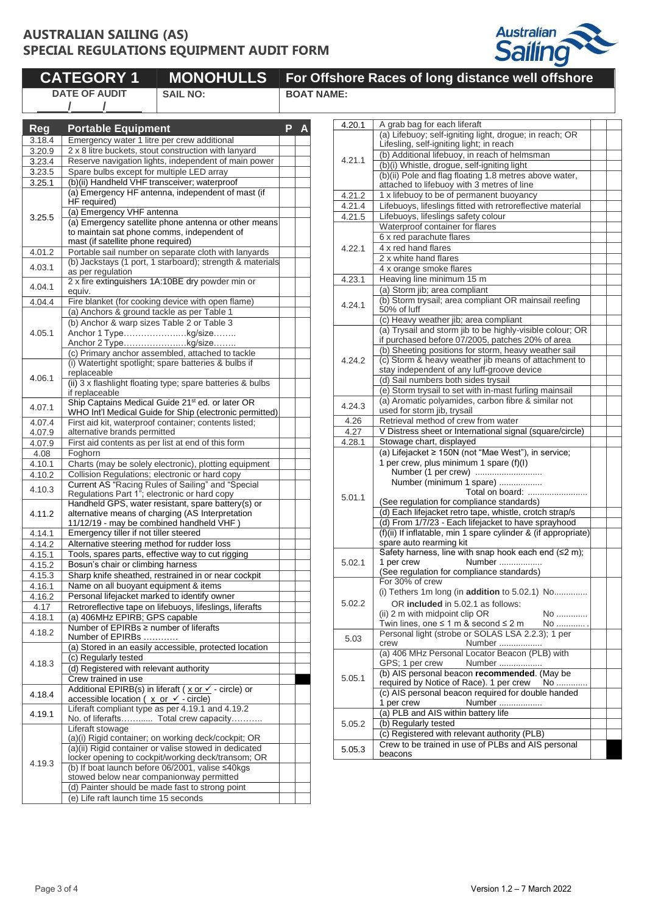

|                  | <b>CATEGORY 1</b>                                              | <b>MONOHULLS</b>                                                                                                        |   |                   | <b>For Offshore Races of lor</b>           |
|------------------|----------------------------------------------------------------|-------------------------------------------------------------------------------------------------------------------------|---|-------------------|--------------------------------------------|
|                  | <b>DATE OF AUDIT</b><br>$\prime$                               | <b>SAIL NO:</b>                                                                                                         |   | <b>BOAT NAME:</b> |                                            |
|                  |                                                                |                                                                                                                         |   | 4.20.1            | A grab bag for e                           |
| <b>Reg</b>       | <b>Portable Equipment</b>                                      |                                                                                                                         | P |                   | (a) Lifebuoy; self                         |
| 3.18.4           |                                                                | Emergency water 1 litre per crew additional                                                                             |   |                   | Lifesling, self-igr                        |
| 3.20.9           |                                                                | 2 x 8 litre buckets, stout construction with lanyard                                                                    |   | 4.21.1            | (b) Additional life                        |
| 3.23.4<br>3.23.5 | Spare bulbs except for multiple LED array                      | Reserve navigation lights, independent of main power                                                                    |   |                   | (b)(i) Whistle, dro                        |
| 3.25.1           |                                                                | (b)(ii) Handheld VHF transceiver; waterproof                                                                            |   |                   | (b)(ii) Pole and fl                        |
|                  |                                                                | (a) Emergency HF antenna, independent of mast (if                                                                       |   |                   | attached to lifebu                         |
|                  | HF required)                                                   |                                                                                                                         |   | 4.21.2            | 1 x lifebuoy to be                         |
|                  | (a) Emergency VHF antenna                                      |                                                                                                                         |   | 4.21.4<br>4.21.5  | Lifebuoys, lifeslir<br>Lifebuoys, lifeslir |
| 3.25.5           |                                                                | (a) Emergency satellite phone antenna or other means                                                                    |   |                   | Waterproof conta                           |
|                  |                                                                | to maintain sat phone comms, independent of                                                                             |   |                   | 6 x red parachut                           |
|                  | mast (if satellite phone required)                             |                                                                                                                         |   | 4.22.1            | 4 x red hand flar                          |
| 4.01.2           |                                                                | Portable sail number on separate cloth with lanyards<br>(b) Jackstays (1 port, 1 starboard); strength & materials       |   |                   | 2 x white hand fl                          |
| 4.03.1           | as per regulation                                              |                                                                                                                         |   |                   | 4 x orange smok                            |
|                  |                                                                | 2 x fire extinguishers 1A:10BE dry powder min or                                                                        |   | 4.23.1            | Heaving line min                           |
| 4.04.1           | equiv.                                                         |                                                                                                                         |   |                   | (a) Storm jib; are                         |
| 4.04.4           |                                                                | Fire blanket (for cooking device with open flame)                                                                       |   | 4.24.1            | (b) Storm trysail;                         |
|                  |                                                                | (a) Anchors & ground tackle as per Table 1                                                                              |   |                   | 50% of luff<br>(c) Heavy weath             |
|                  |                                                                | (b) Anchor & warp sizes Table 2 or Table 3                                                                              |   |                   | (a) Trysail and st                         |
| 4.05.1           |                                                                | Anchor 1 Typekg/size                                                                                                    |   |                   | if purchased befo                          |
|                  |                                                                | Anchor 2 Typekg/size<br>(c) Primary anchor assembled, attached to tackle                                                |   |                   | (b) Sheeting pos                           |
|                  |                                                                | (i) Watertight spotlight; spare batteries & bulbs if                                                                    |   | 4.24.2            | (c) Storm & heav                           |
|                  | replaceable                                                    |                                                                                                                         |   |                   | stay independen                            |
| 4.06.1           |                                                                | (ii) 3 x flashlight floating type; spare batteries & bulbs                                                              |   |                   | (d) Sail numbers                           |
|                  | if replaceable                                                 |                                                                                                                         |   |                   | (e) Storm trysail<br>(a) Aromatic poly     |
| 4.07.1           |                                                                | Ship Captains Medical Guide 21 <sup>st</sup> ed. or later OR<br>WHO Int'l Medical Guide for Ship (electronic permitted) |   | 4.24.3            | used for storm jil                         |
| 4.07.4           |                                                                | First aid kit, waterproof container; contents listed;                                                                   |   | 4.26              | Retrieval method                           |
| 4.07.9           | alternative brands permitted                                   |                                                                                                                         |   | 4.27              | V Distress sheet                           |
| 4.07.9           |                                                                | First aid contents as per list at end of this form                                                                      |   | 4.28.1            | Stowage chart, o                           |
| 4.08             | Foghorn                                                        |                                                                                                                         |   |                   | (a) Lifejacket $\geq 1$                    |
| 4.10.1           |                                                                | Charts (may be solely electronic), plotting equipment                                                                   |   |                   | 1 per crew, plus                           |
| 4.10.2           |                                                                | Collision Regulations; electronic or hard copy                                                                          |   |                   | Number (1 pe<br>Number (mini               |
| 4.10.3           |                                                                | Current AS "Racing Rules of Sailing" and "Special<br>Regulations Part 1"; electronic or hard copy                       |   |                   |                                            |
|                  |                                                                | Handheld GPS, water resistant, spare battery(s) or                                                                      |   | 5.01.1            | (See regulation f                          |
| 4.11.2           |                                                                | alternative means of charging (AS Interpretation                                                                        |   |                   | (d) Each lifejack                          |
|                  |                                                                | 11/12/19 - may be combined handheld VHF)                                                                                |   |                   | (d) From 1/7/23                            |
| 4.14.1           | Emergency tiller if not tiller steered                         |                                                                                                                         |   |                   | (f)(ii) If inflatable.                     |
| 4.14.2           |                                                                | Alternative steering method for rudder loss                                                                             |   |                   | spare auto rearn                           |
| 4.15.1           |                                                                | Tools, spares parts, effective way to cut rigging                                                                       |   | 5.02.1            | Safety harness,<br>1 per crew              |
| 4.15.2           | Bosun's chair or climbing harness                              |                                                                                                                         |   |                   | (See regulation f                          |
| 4.15.3<br>4.16.1 | Name on all buoyant equipment & items                          | Sharp knife sheathed, restrained in or near cockpit                                                                     |   |                   | For 30% of crew                            |
| 4.16.2           |                                                                | Personal lifejacket marked to identify owner                                                                            |   |                   | (i) Tethers 1m lo                          |
| 4.17             |                                                                | Retroreflective tape on lifebuoys, lifeslings, liferafts                                                                |   | 5.02.2            | OR included                                |
| 4.18.1           | (a) 406MHz EPIRB; GPS capable                                  |                                                                                                                         |   |                   | (ii) 2 m with midp                         |
| 4.18.2           | Number of EPIRBs ≥ number of liferafts                         |                                                                                                                         |   |                   | Twin lines, one s                          |
|                  | Number of EPIRBs                                               |                                                                                                                         |   | 5.03              | Personal light (st<br>crew                 |
|                  |                                                                | (a) Stored in an easily accessible, protected location                                                                  |   |                   | (a) 406 MHz Per                            |
| 4.18.3           | (c) Regularly tested<br>(d) Registered with relevant authority |                                                                                                                         |   |                   | GPS; 1 per crew                            |
|                  | Crew trained in use                                            |                                                                                                                         |   | 5.05.1            | (b) AIS personal                           |
|                  |                                                                | Additional EPIRB(s) in liferaft (x or √ - circle) or                                                                    |   |                   | required by Notio                          |
| 4.18.4           | accessible location ( $x$ or $\checkmark$ - circle)            |                                                                                                                         |   |                   | (c) AIS personal                           |
| 4.19.1           |                                                                | Liferaft compliant type as per 4.19.1 and 4.19.2                                                                        |   |                   | 1 per crew<br>(a) PLB and AIS              |
|                  |                                                                | No. of liferafts Total crew capacity                                                                                    |   | 5.05.2            | (b) Regularly tes                          |
|                  | Liferaft stowage                                               |                                                                                                                         |   |                   | (c) Registered w                           |
|                  |                                                                | (a)(i) Rigid container; on working deck/cockpit; OR<br>(a)(ii) Rigid container or valise stowed in dedicated            |   |                   | Crew to be traine                          |
|                  |                                                                | locker opening to cockpit/working deck/transom; OR                                                                      |   | 5.05.3            | beacons                                    |
| 4.19.3           |                                                                | (b) If boat launch before 06/2001, valise ≤40kgs                                                                        |   |                   |                                            |
|                  |                                                                | stowed below near companionway permitted                                                                                |   |                   |                                            |
|                  |                                                                | (d) Painter should be made fast to strong point                                                                         |   |                   |                                            |
|                  | (e) Life raft launch time 15 seconds                           |                                                                                                                         |   |                   |                                            |

| 4.20.1 | A grab bag for each liferaft                                                                  |  |
|--------|-----------------------------------------------------------------------------------------------|--|
|        | (a) Lifebuoy; self-igniting light, drogue; in reach; OR                                       |  |
|        | Lifesling, self-igniting light; in reach                                                      |  |
| 4.21.1 | (b) Additional lifebuoy, in reach of helmsman                                                 |  |
|        | (b)(i) Whistle, drogue, self-igniting light                                                   |  |
|        | (b)(ii) Pole and flag floating 1.8 metres above water,                                        |  |
|        | attached to lifebuoy with 3 metres of line                                                    |  |
| 4.21.2 | 1 x lifebuoy to be of permanent buoyancy                                                      |  |
| 4.21.4 | Lifebuoys, lifeslings fitted with retroreflective material                                    |  |
| 4.21.5 | Lifebuoys, lifeslings safety colour                                                           |  |
|        | Waterproof container for flares                                                               |  |
|        | 6 x red parachute flares                                                                      |  |
| 4.22.1 | 4 x red hand flares                                                                           |  |
|        | 2 x white hand flares                                                                         |  |
|        | 4 x orange smoke flares                                                                       |  |
| 4.23.1 | Heaving line minimum 15 m                                                                     |  |
|        | (a) Storm jib; area compliant                                                                 |  |
| 4.24.1 | (b) Storm trysail; area compliant OR mainsail reefing                                         |  |
|        | 50% of luff                                                                                   |  |
|        | (c) Heavy weather jib; area compliant                                                         |  |
|        | (a) Trysail and storm jib to be highly-visible colour; OR                                     |  |
|        | if purchased before 07/2005, patches 20% of area                                              |  |
|        | (b) Sheeting positions for storm, heavy weather sail                                          |  |
| 4.24.2 | (c) Storm & heavy weather jib means of attachment to                                          |  |
|        | stay independent of any luff-groove device                                                    |  |
|        | (d) Sail numbers both sides trysail<br>(e) Storm trysail to set with in-mast furling mainsail |  |
|        | (a) Aromatic polyamides, carbon fibre & similar not                                           |  |
| 4.24.3 | used for storm jib, trysail                                                                   |  |
| 4.26   | Retrieval method of crew from water                                                           |  |
| 4.27   | V Distress sheet or International signal (square/circle)                                      |  |
| 4.28.1 | Stowage chart, displayed                                                                      |  |
|        | (a) Lifejacket ≥ 150N (not "Mae West"), in service;                                           |  |
|        | 1 per crew, plus minimum 1 spare (f)(l)                                                       |  |
|        |                                                                                               |  |
|        | Number (minimum 1 spare)                                                                      |  |
|        | Total on board:                                                                               |  |
| 5.01.1 | (See regulation for compliance standards)                                                     |  |
|        | (d) Each lifejacket retro tape, whistle, crotch strap/s                                       |  |
|        | (d) From 1/7/23 - Each lifejacket to have sprayhood                                           |  |
|        | (f)(ii) If inflatable, min 1 spare cylinder & (if appropriate)                                |  |
|        | spare auto rearming kit                                                                       |  |
|        | Safety harness, line with snap hook each end $(≤2 m)$ ;                                       |  |
| 5.02.1 | 1 per crew<br>Number                                                                          |  |
|        | (See regulation for compliance standards)                                                     |  |
|        | For 30% of crew                                                                               |  |
|        | (i) Tethers 1m long (in addition to 5.02.1) No                                                |  |
| 5.02.2 | OR included in 5.02.1 as follows:                                                             |  |
|        | (ii) 2 m with midpoint clip OR<br>No                                                          |  |
|        | Twin lines, one ≤ 1 m & second ≤ 2 m<br>No                                                    |  |
| 5.03   | Personal light (strobe or SOLAS LSA 2.2.3); 1 per                                             |  |
|        | Number<br>crew                                                                                |  |
|        | (a) 406 MHz Personal Locator Beacon (PLB) with                                                |  |
|        | GPS; 1 per crew<br>Number<br>(b) AIS personal beacon recommended. (May be                     |  |
| 5.05.1 | required by Notice of Race). 1 per crew                                                       |  |
|        | No<br>(c) AIS personal beacon required for double handed                                      |  |
|        | 1 per crew<br>Number                                                                          |  |
|        | (a) PLB and AIS within battery life                                                           |  |
| 5.05.2 | (b) Regularly tested                                                                          |  |
|        | (c) Registered with relevant authority (PLB)                                                  |  |
|        |                                                                                               |  |
|        |                                                                                               |  |
| 5.05.3 | Crew to be trained in use of PLBs and AIS personal                                            |  |
|        | beacons                                                                                       |  |